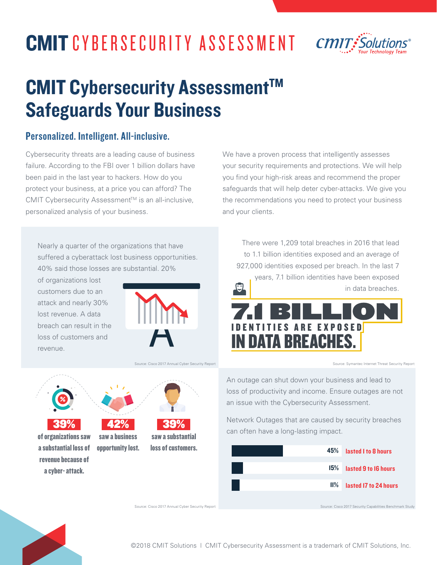# CMIT CYBERSECURITY ASSESSMENT



## CMIT Cybersecurity Assessment<sup>™</sup> Safeguards Your Business

#### Personalized. Intelligent. All-inclusive.

Cybersecurity threats are a leading cause of business failure. According to the FBI over 1 billion dollars have been paid in the last year to hackers. How do you protect your business, at a price you can afford? The CMIT Cybersecurity Assessment™ is an all-inclusive, personalized analysis of your business.

Nearly a quarter of the organizations that have suffered a cyberattack lost business opportunities. 40% said those losses are substantial. 20%

> 42% saw a business opportunity lost.

of organizations lost customers due to an attack and nearly 30% lost revenue. A data breach can result in the loss of customers and revenue.

39% of organizations saw a substantial loss of revenue because of a cyber- attack.



Source: Cisco 2017 Annual Cyber Security Report

39% saw a substantial loss of customers. We have a proven process that intelligently assesses your security requirements and protections. We will help you find your high-risk areas and recommend the proper safeguards that will help deter cyber-attacks. We give you the recommendations you need to protect your business and your clients.

There were 1,209 total breaches in 2016 that lead to 1.1 billion identities exposed and an average of 927,000 identities exposed per breach. In the last 7 years, 7.1 billion identities have been exposed in data breaches. 7.1 BILLION **TIES ARE EXPOSED IN DATA BREACHES** 

Source: Symantec Internet Threat Security Report

An outage can shut down your business and lead to loss of productivity and income. Ensure outages are not an issue with the Cybersecurity Assessment.

Network Outages that are caused by security breaches can often have a long-lasting impact.

| 45%            | lasted I to 8 hours                                      |
|----------------|----------------------------------------------------------|
| 15%            | lasted 9 to 16 hours                                     |
| $\mathbf{H}$ % | lasted 17 to 24 hours                                    |
|                | Source: Cisco 2017 Security Capabilities Benchmark Study |

Source: Cisco 2017 Annual Cyber Security Report



©2018 CMIT Solutions | CMIT Cybersecurity Assessment is a trademark of CMIT Solutions, Inc.